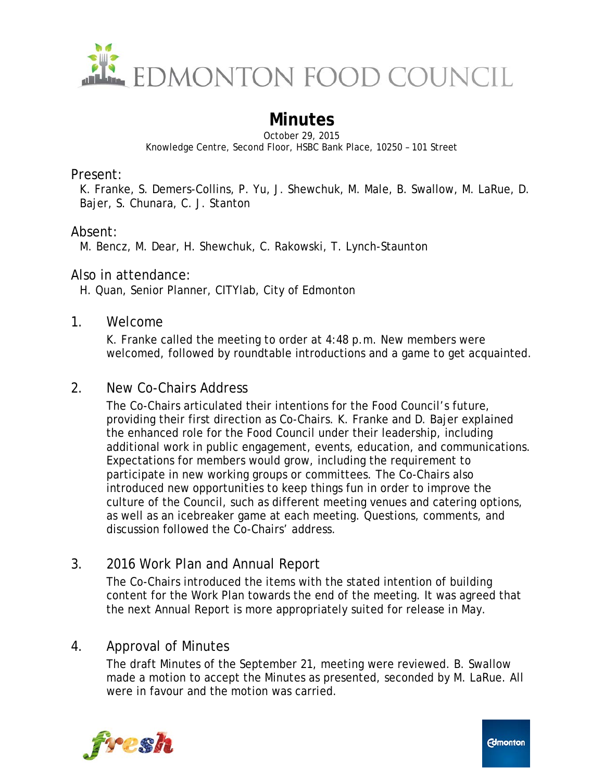

# **Minutes**

October 29, 2015 Knowledge Centre, Second Floor, HSBC Bank Place, 10250 – 101 Street

Present:

K. Franke, S. Demers-Collins, P. Yu, J. Shewchuk, M. Male, B. Swallow, M. LaRue, D. Bajer, S. Chunara, C. J. Stanton

#### Absent:

M. Bencz, M. Dear, H. Shewchuk, C. Rakowski, T. Lynch-Staunton

#### Also in attendance:

H. Quan, Senior Planner, CITYlab, City of Edmonton

#### 1. Welcome

K. Franke called the meeting to order at 4:48 p.m. New members were welcomed, followed by roundtable introductions and a game to get acquainted.

#### 2. New Co-Chairs Address

The Co-Chairs articulated their intentions for the Food Council's future, providing their first direction as Co-Chairs. K. Franke and D. Bajer explained the enhanced role for the Food Council under their leadership, including additional work in public engagement, events, education, and communications. Expectations for members would grow, including the requirement to participate in new working groups or committees. The Co-Chairs also introduced new opportunities to keep things fun in order to improve the culture of the Council, such as different meeting venues and catering options, as well as an icebreaker game at each meeting. Questions, comments, and discussion followed the Co-Chairs' address.

## 3. 2016 Work Plan and Annual Report

The Co-Chairs introduced the items with the stated intention of building content for the Work Plan towards the end of the meeting. It was agreed that the next Annual Report is more appropriately suited for release in May.

## 4. Approval of Minutes

The draft Minutes of the September 21, meeting were reviewed. B. Swallow made a motion to accept the Minutes as presented, seconded by M. LaRue. All were in favour and the motion was carried.

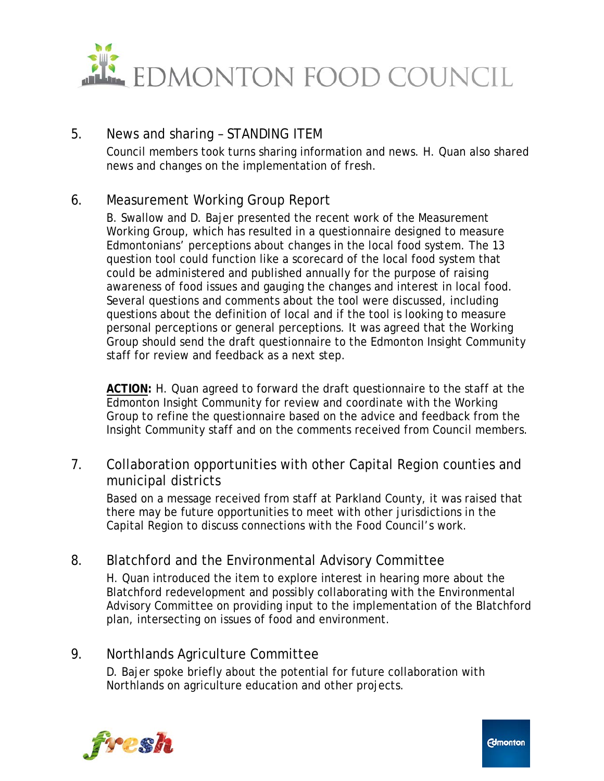

## 5. News and sharing – STANDING ITEM

Council members took turns sharing information and news. H. Quan also shared news and changes on the implementation of *fresh*.

# 6. Measurement Working Group Report

B. Swallow and D. Bajer presented the recent work of the Measurement Working Group, which has resulted in a questionnaire designed to measure Edmontonians' perceptions about changes in the local food system. The 13 question tool could function like a scorecard of the local food system that could be administered and published annually for the purpose of raising awareness of food issues and gauging the changes and interest in local food. Several questions and comments about the tool were discussed, including questions about the definition of local and if the tool is looking to measure personal perceptions or general perceptions. It was agreed that the Working Group should send the draft questionnaire to the Edmonton Insight Community staff for review and feedback as a next step.

**ACTION:** H. Quan agreed to forward the draft questionnaire to the staff at the Edmonton Insight Community for review and coordinate with the Working Group to refine the questionnaire based on the advice and feedback from the Insight Community staff and on the comments received from Council members.

## 7. Collaboration opportunities with other Capital Region counties and municipal districts

Based on a message received from staff at Parkland County, it was raised that there may be future opportunities to meet with other jurisdictions in the Capital Region to discuss connections with the Food Council's work.

# 8. Blatchford and the Environmental Advisory Committee

H. Quan introduced the item to explore interest in hearing more about the Blatchford redevelopment and possibly collaborating with the Environmental Advisory Committee on providing input to the implementation of the Blatchford plan, intersecting on issues of food and environment.

## 9. Northlands Agriculture Committee

D. Bajer spoke briefly about the potential for future collaboration with Northlands on agriculture education and other projects.